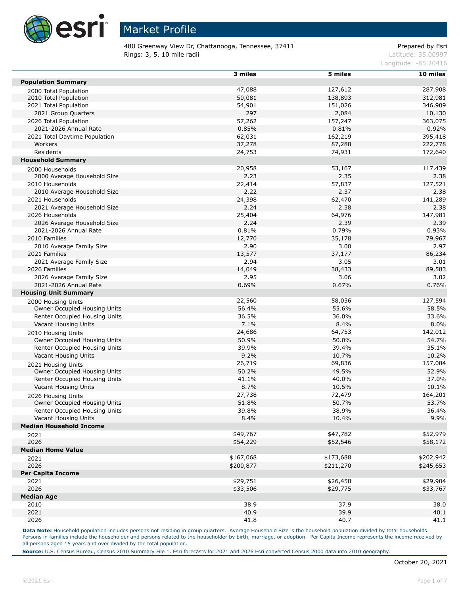

480 Greenway View Dr, Chattanooga, Tennessee, 37411 **Prepared by Estimate and Accord** Prepared by Esri Rings: 3, 5, 10 mile radii and the contract of the contract of the contract of the contract of the contract of the contract of the contract of the contract of the contract of the contract of the contract of the contract of

Longitude: -85.20416

|                                | 3 miles   | 5 miles   | 10 miles  |
|--------------------------------|-----------|-----------|-----------|
| <b>Population Summary</b>      |           |           |           |
| 2000 Total Population          | 47,088    | 127,612   | 287,908   |
| 2010 Total Population          | 50,081    | 138,893   | 312,981   |
| 2021 Total Population          | 54,901    | 151,026   | 346,909   |
| 2021 Group Quarters            | 297       | 2,084     | 10,130    |
| 2026 Total Population          | 57,262    | 157,247   | 363,075   |
| 2021-2026 Annual Rate          | 0.85%     | 0.81%     | 0.92%     |
| 2021 Total Daytime Population  | 62,031    | 162,219   | 395,418   |
| Workers                        | 37,278    | 87,288    | 222,778   |
| Residents                      | 24,753    | 74,931    | 172,640   |
| <b>Household Summary</b>       |           |           |           |
| 2000 Households                | 20,958    | 53,167    | 117,439   |
| 2000 Average Household Size    | 2.23      | 2.35      | 2.38      |
| 2010 Households                | 22,414    | 57,837    | 127,521   |
| 2010 Average Household Size    | 2.22      | 2.37      | 2.38      |
| 2021 Households                | 24,398    | 62,470    | 141,289   |
| 2021 Average Household Size    | 2.24      | 2.38      | 2.38      |
| 2026 Households                | 25,404    | 64,976    | 147,981   |
| 2026 Average Household Size    | 2.24      | 2.39      | 2.39      |
| 2021-2026 Annual Rate          | 0.81%     | 0.79%     | 0.93%     |
| 2010 Families                  | 12,770    | 35,178    | 79,967    |
| 2010 Average Family Size       | 2.90      | 3.00      | 2.97      |
| 2021 Families                  | 13,577    | 37,177    | 86,234    |
| 2021 Average Family Size       | 2.94      | 3.05      | 3.01      |
| 2026 Families                  | 14,049    | 38,433    | 89,583    |
| 2026 Average Family Size       | 2.95      | 3.06      | 3.02      |
| 2021-2026 Annual Rate          | 0.69%     | 0.67%     | 0.76%     |
| <b>Housing Unit Summary</b>    |           |           |           |
| 2000 Housing Units             | 22,560    | 58,036    | 127,594   |
| Owner Occupied Housing Units   | 56.4%     | 55.6%     | 58.5%     |
| Renter Occupied Housing Units  | 36.5%     | 36.0%     | 33.6%     |
| Vacant Housing Units           | 7.1%      | 8.4%      | 8.0%      |
| 2010 Housing Units             | 24,686    | 64,753    | 142,012   |
| Owner Occupied Housing Units   | 50.9%     | 50.0%     | 54.7%     |
| Renter Occupied Housing Units  | 39.9%     | 39.4%     | 35.1%     |
| Vacant Housing Units           | 9.2%      | 10.7%     | 10.2%     |
| 2021 Housing Units             | 26,719    | 69,836    | 157,084   |
| Owner Occupied Housing Units   | 50.2%     | 49.5%     | 52.9%     |
| Renter Occupied Housing Units  | 41.1%     | 40.0%     | 37.0%     |
| Vacant Housing Units           | 8.7%      | 10.5%     | 10.1%     |
| 2026 Housing Units             | 27,738    | 72,479    | 164,201   |
| Owner Occupied Housing Units   | 51.8%     | 50.7%     | 53.7%     |
| Renter Occupied Housing Units  | 39.8%     | 38.9%     | 36.4%     |
| Vacant Housing Units           | 8.4%      | 10.4%     | 9.9%      |
| <b>Median Household Income</b> |           |           |           |
| 2021                           | \$49,767  | \$47,782  | \$52,979  |
| 2026                           | \$54,229  | \$52,546  | \$58,172  |
| <b>Median Home Value</b>       |           |           |           |
| 2021                           | \$167,068 | \$173,688 | \$202,942 |
| 2026                           | \$200,877 | \$211,270 | \$245,653 |
| <b>Per Capita Income</b>       |           |           |           |
| 2021                           | \$29,751  | \$26,458  | \$29,904  |
| 2026                           | \$33,506  | \$29,775  | \$33,767  |
| <b>Median Age</b>              |           |           |           |
| 2010                           | 38.9      | 37.9      | 38.0      |
| 2021                           | 40.9      | 39.9      | 40.1      |
| 2026                           | 41.8      | 40.7      | 41.1      |
|                                |           |           |           |

Data Note: Household population includes persons not residing in group quarters. Average Household Size is the household population divided by total households. Persons in families include the householder and persons related to the householder by birth, marriage, or adoption. Per Capita Income represents the income received by all persons aged 15 years and over divided by the total population.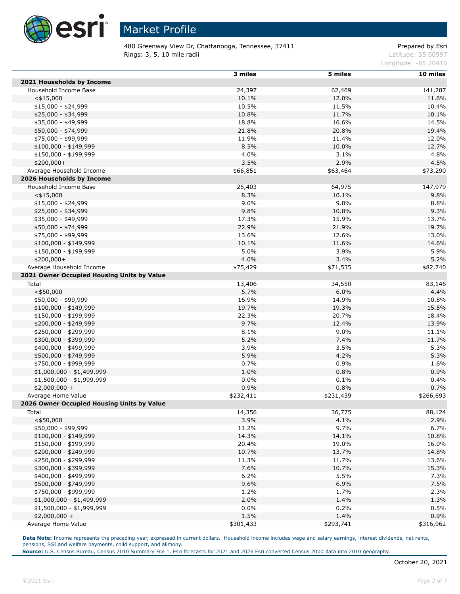

480 Greenway View Dr, Chattanooga, Tennessee, 37411 **Prepared by Estiman Prepared by Esri Rings: 3, 5, 10 mile radii** Latitude: 35.00997

Longitude: -85.20416

|                                            | 3 miles   | 5 miles   | 10 miles  |
|--------------------------------------------|-----------|-----------|-----------|
| 2021 Households by Income                  |           |           |           |
| Household Income Base                      | 24,397    | 62,469    | 141,287   |
| $<$ \$15,000                               | 10.1%     | 12.0%     | 11.6%     |
| \$15,000 - \$24,999                        | 10.5%     | 11.5%     | 10.4%     |
| \$25,000 - \$34,999                        | 10.8%     | 11.7%     | 10.1%     |
| \$35,000 - \$49,999                        | 18.8%     | 16.6%     | 14.5%     |
| \$50,000 - \$74,999                        | 21.8%     | 20.8%     | 19.4%     |
| \$75,000 - \$99,999                        | 11.9%     | 11.4%     | 12.0%     |
| $$100,000 - $149,999$                      | 8.5%      | 10.0%     | 12.7%     |
| $$150,000 - $199,999$                      | 4.0%      | 3.1%      | 4.8%      |
| $$200,000+$                                | 3.5%      | 2.9%      | 4.5%      |
| Average Household Income                   | \$66,851  | \$63,464  | \$73,290  |
| 2026 Households by Income                  |           |           |           |
| Household Income Base                      | 25,403    | 64,975    | 147,979   |
| $<$ \$15,000                               | 8.3%      | 10.1%     | 9.8%      |
| $$15,000 - $24,999$                        | 9.0%      | 9.8%      | 8.8%      |
| \$25,000 - \$34,999                        | 9.8%      | 10.8%     | 9.3%      |
| \$35,000 - \$49,999                        | 17.3%     | 15.9%     | 13.7%     |
| \$50,000 - \$74,999                        | 22.9%     | 21.9%     | 19.7%     |
| \$75,000 - \$99,999                        | 13.6%     | 12.6%     | 13.0%     |
| $$100,000 - $149,999$                      | 10.1%     | 11.6%     | 14.6%     |
| \$150,000 - \$199,999                      | 5.0%      | 3.9%      | 5.9%      |
| $$200,000+$                                | 4.0%      | 3.4%      | 5.2%      |
| Average Household Income                   | \$75,429  | \$71,535  | \$82,740  |
| 2021 Owner Occupied Housing Units by Value |           |           |           |
| Total                                      | 13,406    | 34,550    | 83,146    |
| $<$ \$50,000                               | 5.7%      | 6.0%      | 4.4%      |
| \$50,000 - \$99,999                        | 16.9%     | 14.9%     | 10.8%     |
| $$100,000 - $149,999$                      | 19.7%     | 19.3%     | 15.5%     |
| \$150,000 - \$199,999                      | 22.3%     | 20.7%     | 18.4%     |
| \$200,000 - \$249,999                      | 9.7%      | 12.4%     | 13.9%     |
| \$250,000 - \$299,999                      | 8.1%      | 9.0%      | 11.1%     |
| \$300,000 - \$399,999                      | 5.2%      | 7.4%      | 11.7%     |
| \$400,000 - \$499,999                      | 3.9%      | 3.5%      | 5.3%      |
| \$500,000 - \$749,999                      | 5.9%      | 4.2%      | 5.3%      |
| \$750,000 - \$999,999                      | 0.7%      | 0.9%      | 1.6%      |
| $$1,000,000 - $1,499,999$                  | 1.0%      | 0.8%      | 0.9%      |
| \$1,500,000 - \$1,999,999                  | 0.0%      | 0.1%      | 0.4%      |
| $$2,000,000 +$                             | 0.9%      | 0.8%      | 0.7%      |
| Average Home Value                         | \$232,411 | \$231,439 | \$266,693 |
| 2026 Owner Occupied Housing Units by Value |           |           |           |
| Total                                      | 14,356    | 36,775    | 88,124    |
| $<$ \$50,000                               | 3.9%      | 4.1%      | 2.9%      |
| \$50,000 - \$99,999                        | 11.2%     | 9.7%      | 6.7%      |
| $$100,000 - $149,999$                      | 14.3%     | 14.1%     | 10.8%     |
| \$150,000 - \$199,999                      | 20.4%     | 19.0%     | 16.0%     |
| \$200,000 - \$249,999                      | 10.7%     | 13.7%     | 14.8%     |
| \$250,000 - \$299,999                      | 11.3%     | 11.7%     | 13.6%     |
| \$300,000 - \$399,999                      | 7.6%      | 10.7%     | 15.3%     |
| \$400,000 - \$499,999                      | 6.2%      | 5.5%      | 7.3%      |
| \$500,000 - \$749,999                      | 9.6%      | 6.9%      | 7.5%      |
| \$750,000 - \$999,999                      | 1.2%      | 1.7%      | 2.3%      |
| \$1,000,000 - \$1,499,999                  | 2.0%      | 1.4%      | 1.3%      |
| \$1,500,000 - \$1,999,999                  | 0.0%      | 0.2%      | 0.5%      |
| $$2,000,000 +$                             | 1.5%      | 1.4%      | 0.9%      |
| Average Home Value                         | \$301,433 | \$293,741 | \$316,962 |

Data Note: Income represents the preceding year, expressed in current dollars. Household income includes wage and salary earnings, interest dividends, net rents, pensions, SSI and welfare payments, child support, and alimony.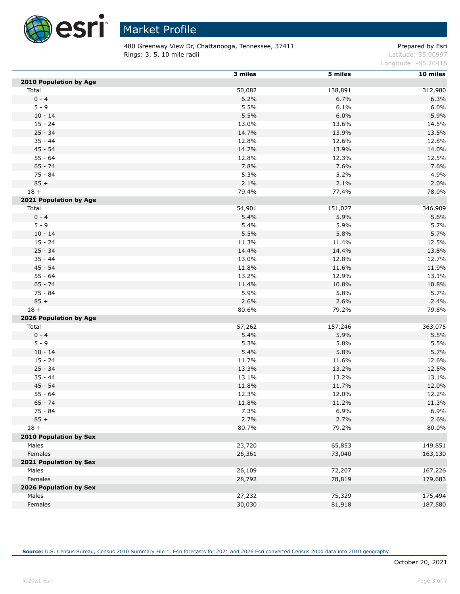

 $\overline{a}$ 

## Market Profile

480 Greenway View Dr, Chattanooga, Tennessee, 37411 **Prepared by Estiman Prepared by Esri Rings: 3, 5, 10 mile radii** Latitude: 35.00997

Longitude: -85.20416

|                               | 3 miles | 5 miles | 10 miles |
|-------------------------------|---------|---------|----------|
| 2010 Population by Age        |         |         |          |
| Total                         | 50,082  | 138,891 | 312,980  |
| $0 - 4$                       | 6.2%    | 6.7%    | 6.3%     |
| $5 - 9$                       | 5.5%    | 6.1%    | 6.0%     |
| $10 - 14$                     | 5.5%    | 6.0%    | 5.9%     |
| $15 - 24$                     | 13.0%   | 13.6%   | 14.5%    |
| $25 - 34$                     | 14.7%   | 13.9%   | 13.5%    |
| $35 - 44$                     | 12.8%   | 12.6%   | 12.8%    |
| $45 - 54$                     | 14.2%   | 13.9%   | 14.0%    |
| $55 - 64$                     | 12.8%   | 12.3%   | 12.5%    |
| $65 - 74$                     | 7.8%    | 7.6%    | 7.6%     |
| $75 - 84$                     | 5.3%    | 5.2%    | 4.9%     |
| $85 +$                        | 2.1%    | 2.1%    | 2.0%     |
| $18 +$                        | 79.4%   | 77.4%   | 78.0%    |
| 2021 Population by Age        |         |         |          |
| Total                         | 54,901  | 151,027 | 346,909  |
| $0 - 4$                       | 5.4%    | 5.9%    | 5.6%     |
| $5 - 9$                       | 5.4%    | 5.9%    | 5.7%     |
| $10 - 14$                     | 5.5%    | 5.8%    | 5.7%     |
| $15 - 24$                     | 11.3%   | 11.4%   | 12.5%    |
| $25 - 34$                     | 14.4%   | 14.4%   | 13.8%    |
| $35 - 44$                     | 13.0%   | 12.8%   | 12.7%    |
| $45 - 54$                     | 11.8%   | 11.6%   | 11.9%    |
| $55 - 64$                     | 13.2%   | 12.9%   | 13.1%    |
| $65 - 74$                     | 11.4%   | 10.8%   | 10.8%    |
| 75 - 84                       | 5.9%    | 5.8%    | 5.7%     |
| $85 +$                        | 2.6%    | 2.6%    | 2.4%     |
| $18 +$                        | 80.6%   | 79.2%   | 79.8%    |
| 2026 Population by Age        |         |         |          |
| Total                         | 57,262  | 157,246 | 363,075  |
| $0 - 4$                       | 5.4%    | 5.9%    | 5.5%     |
| $5 - 9$                       | 5.3%    | 5.8%    | 5.5%     |
| $10 - 14$                     | 5.4%    | 5.8%    | 5.7%     |
| $15 - 24$                     | 11.7%   | 11.6%   | 12.6%    |
| $25 - 34$                     | 13.3%   | 13.2%   | 12.5%    |
| $35 - 44$                     | 13.1%   | 13.2%   | 13.1%    |
| $45 - 54$                     | 11.8%   | 11.7%   | 12.0%    |
| $55 - 64$                     | 12.3%   | 12.0%   | 12.2%    |
| $65 - 74$                     | 11.8%   | 11.2%   | 11.3%    |
| 75 - 84                       | 7.3%    | 6.9%    | 6.9%     |
| $85 +$                        | 2.7%    | 2.7%    | 2.6%     |
| $18 +$                        | 80.7%   | 79.2%   | 80.0%    |
|                               |         |         |          |
| <b>2010 Population by Sex</b> |         |         |          |
| Males                         | 23,720  | 65,853  | 149,851  |
| Females                       | 26,361  | 73,040  | 163,130  |
| 2021 Population by Sex        |         |         |          |
| Males                         | 26,109  | 72,207  | 167,226  |
| Females                       | 28,792  | 78,819  | 179,683  |
| 2026 Population by Sex        |         |         |          |
| Males                         | 27,232  | 75,329  | 175,494  |
| Females                       | 30,030  | 81,918  | 187,580  |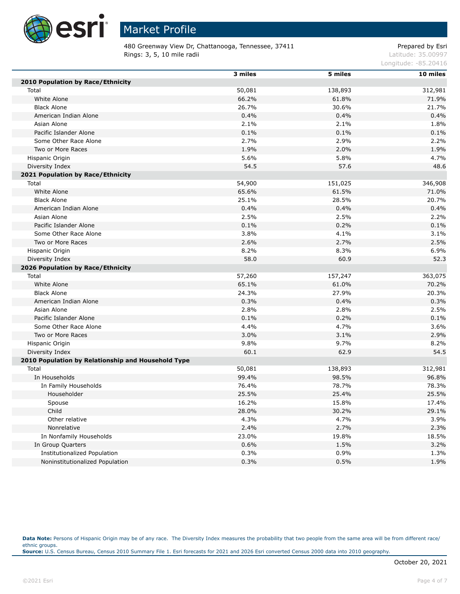

480 Greenway View Dr, Chattanooga, Tennessee, 37411 **Prepared by Estiman Prepared by Esri Rings: 3, 5, 10 mile radii** Latitude: 35.00997

Longitude: -85.20416

|                                                    | 3 miles | 5 miles | 10 miles |
|----------------------------------------------------|---------|---------|----------|
| 2010 Population by Race/Ethnicity                  |         |         |          |
| Total                                              | 50,081  | 138,893 | 312,981  |
| White Alone                                        | 66.2%   | 61.8%   | 71.9%    |
| <b>Black Alone</b>                                 | 26.7%   | 30.6%   | 21.7%    |
| American Indian Alone                              | 0.4%    | 0.4%    | 0.4%     |
| Asian Alone                                        | 2.1%    | 2.1%    | 1.8%     |
| Pacific Islander Alone                             | 0.1%    | 0.1%    | 0.1%     |
| Some Other Race Alone                              | 2.7%    | 2.9%    | 2.2%     |
| Two or More Races                                  | 1.9%    | 2.0%    | 1.9%     |
| Hispanic Origin                                    | 5.6%    | 5.8%    | 4.7%     |
| Diversity Index                                    | 54.5    | 57.6    | 48.6     |
| 2021 Population by Race/Ethnicity                  |         |         |          |
| Total                                              | 54,900  | 151,025 | 346,908  |
| White Alone                                        | 65.6%   | 61.5%   | 71.0%    |
| <b>Black Alone</b>                                 | 25.1%   | 28.5%   | 20.7%    |
| American Indian Alone                              | 0.4%    | 0.4%    | 0.4%     |
| Asian Alone                                        | 2.5%    | 2.5%    | 2.2%     |
| Pacific Islander Alone                             | 0.1%    | 0.2%    | 0.1%     |
| Some Other Race Alone                              | 3.8%    | 4.1%    | 3.1%     |
| Two or More Races                                  | 2.6%    | 2.7%    | 2.5%     |
| Hispanic Origin                                    | 8.2%    | 8.3%    | 6.9%     |
| Diversity Index                                    | 58.0    | 60.9    | 52.3     |
| 2026 Population by Race/Ethnicity                  |         |         |          |
| Total                                              | 57,260  | 157,247 | 363,075  |
| White Alone                                        | 65.1%   | 61.0%   | 70.2%    |
| <b>Black Alone</b>                                 | 24.3%   | 27.9%   | 20.3%    |
| American Indian Alone                              | 0.3%    | 0.4%    | 0.3%     |
| Asian Alone                                        | 2.8%    | 2.8%    | 2.5%     |
| Pacific Islander Alone                             | 0.1%    | 0.2%    | 0.1%     |
| Some Other Race Alone                              | 4.4%    | 4.7%    | 3.6%     |
| Two or More Races                                  | 3.0%    | 3.1%    | 2.9%     |
| Hispanic Origin                                    | 9.8%    | 9.7%    | 8.2%     |
| Diversity Index                                    | 60.1    | 62.9    | 54.5     |
| 2010 Population by Relationship and Household Type |         |         |          |
| Total                                              | 50,081  | 138,893 | 312,981  |
| In Households                                      | 99.4%   | 98.5%   | 96.8%    |
| In Family Households                               | 76.4%   | 78.7%   | 78.3%    |
| Householder                                        | 25.5%   | 25.4%   | 25.5%    |
| Spouse                                             | 16.2%   | 15.8%   | 17.4%    |
| Child                                              | 28.0%   | 30.2%   | 29.1%    |
| Other relative                                     | 4.3%    | 4.7%    | 3.9%     |
| Nonrelative                                        | 2.4%    | 2.7%    | 2.3%     |
| In Nonfamily Households                            | 23.0%   | 19.8%   | 18.5%    |
| In Group Quarters                                  | 0.6%    | 1.5%    | 3.2%     |
| <b>Institutionalized Population</b>                | 0.3%    | 0.9%    | 1.3%     |
| Noninstitutionalized Population                    | 0.3%    | 0.5%    | 1.9%     |

Data Note: Persons of Hispanic Origin may be of any race. The Diversity Index measures the probability that two people from the same area will be from different race/ ethnic groups. **Source:** U.S. Census Bureau, Census 2010 Summary File 1. Esri forecasts for 2021 and 2026 Esri converted Census 2000 data into 2010 geography.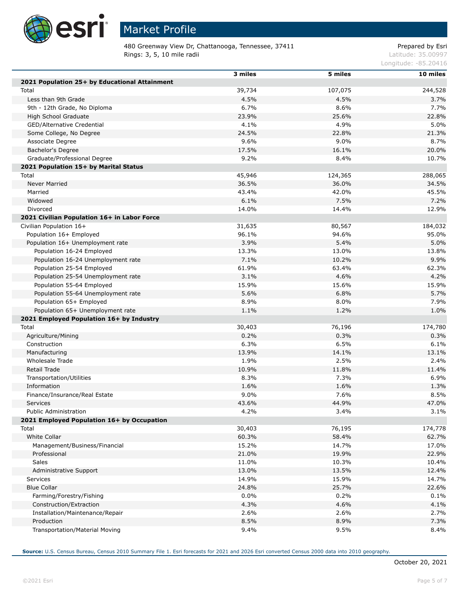

Г

Г

Г

## Market Profile

480 Greenway View Dr, Chattanooga, Tennessee, 37411 **Prepared by Estiman Prepared by Esri Rings: 3, 5, 10 mile radii** Latitude: 35.00997

Longitude: -85.20416

|                                               | 3 miles | 5 miles |          |
|-----------------------------------------------|---------|---------|----------|
| 2021 Population 25+ by Educational Attainment |         |         | 10 miles |
| Total                                         | 39,734  | 107,075 | 244,528  |
|                                               |         |         |          |
| Less than 9th Grade                           | 4.5%    | 4.5%    | 3.7%     |
| 9th - 12th Grade, No Diploma                  | 6.7%    | 8.6%    | 7.7%     |
| High School Graduate                          | 23.9%   | 25.6%   | 22.8%    |
| GED/Alternative Credential                    | 4.1%    | 4.9%    | 5.0%     |
| Some College, No Degree                       | 24.5%   | 22.8%   | 21.3%    |
| Associate Degree                              | 9.6%    | 9.0%    | 8.7%     |
| Bachelor's Degree                             | 17.5%   | 16.1%   | 20.0%    |
| Graduate/Professional Degree                  | 9.2%    | 8.4%    | 10.7%    |
| 2021 Population 15+ by Marital Status         |         |         |          |
| Total                                         | 45,946  | 124,365 | 288,065  |
| Never Married                                 | 36.5%   | 36.0%   | 34.5%    |
| Married                                       | 43.4%   | 42.0%   | 45.5%    |
| Widowed                                       | 6.1%    | 7.5%    | 7.2%     |
| Divorced                                      | 14.0%   | 14.4%   | 12.9%    |
| 2021 Civilian Population 16+ in Labor Force   |         |         |          |
| Civilian Population 16+                       | 31,635  | 80,567  | 184,032  |
| Population 16+ Employed                       | 96.1%   | 94.6%   | 95.0%    |
| Population 16+ Unemployment rate              | 3.9%    | 5.4%    | 5.0%     |
| Population 16-24 Employed                     | 13.3%   | 13.0%   | 13.8%    |
| Population 16-24 Unemployment rate            | 7.1%    | 10.2%   | 9.9%     |
| Population 25-54 Employed                     | 61.9%   | 63.4%   | 62.3%    |
| Population 25-54 Unemployment rate            | 3.1%    | 4.6%    | 4.2%     |
| Population 55-64 Employed                     | 15.9%   | 15.6%   | 15.9%    |
| Population 55-64 Unemployment rate            | 5.6%    | 6.8%    | 5.7%     |
| Population 65+ Employed                       | 8.9%    | 8.0%    | 7.9%     |
| Population 65+ Unemployment rate              | 1.1%    | 1.2%    | 1.0%     |
| 2021 Employed Population 16+ by Industry      |         |         |          |
| Total                                         | 30,403  | 76,196  | 174,780  |
| Agriculture/Mining                            | 0.2%    | 0.3%    | 0.3%     |
| Construction                                  | 6.3%    | 6.5%    | 6.1%     |
| Manufacturing                                 | 13.9%   | 14.1%   | 13.1%    |
| Wholesale Trade                               | 1.9%    | 2.5%    | 2.4%     |
| Retail Trade                                  | 10.9%   | 11.8%   | 11.4%    |
| Transportation/Utilities                      | 8.3%    | 7.3%    | 6.9%     |
| Information                                   | 1.6%    | 1.6%    | 1.3%     |
|                                               | 9.0%    | 7.6%    |          |
| Finance/Insurance/Real Estate                 |         |         | 8.5%     |
| Services                                      | 43.6%   | 44.9%   | 47.0%    |
| Public Administration                         | 4.2%    | 3.4%    | 3.1%     |
| 2021 Employed Population 16+ by Occupation    |         |         |          |
| Total                                         | 30,403  | 76,195  | 174,778  |
| <b>White Collar</b>                           | 60.3%   | 58.4%   | 62.7%    |
| Management/Business/Financial                 | 15.2%   | 14.7%   | 17.0%    |
| Professional                                  | 21.0%   | 19.9%   | 22.9%    |
| Sales                                         | 11.0%   | 10.3%   | 10.4%    |
| Administrative Support                        | 13.0%   | 13.5%   | 12.4%    |
| Services                                      | 14.9%   | 15.9%   | 14.7%    |
| <b>Blue Collar</b>                            | 24.8%   | 25.7%   | 22.6%    |
| Farming/Forestry/Fishing                      | 0.0%    | 0.2%    | 0.1%     |
| Construction/Extraction                       | 4.3%    | 4.6%    | 4.1%     |
| Installation/Maintenance/Repair               | 2.6%    | 2.6%    | 2.7%     |
| Production                                    | 8.5%    | 8.9%    | 7.3%     |
| Transportation/Material Moving                | 9.4%    | 9.5%    | 8.4%     |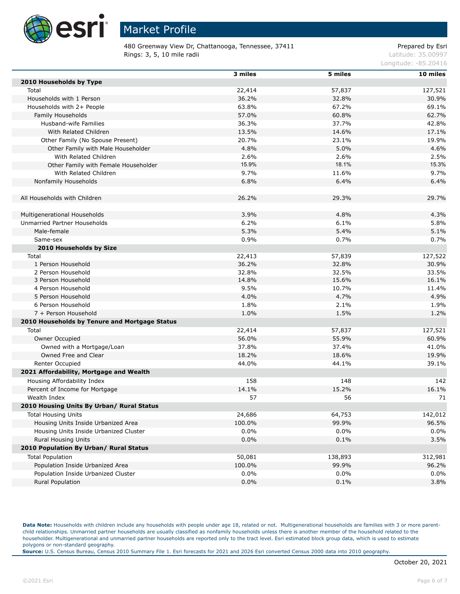

480 Greenway View Dr, Chattanooga, Tennessee, 37411 Prepared by Esri Rings: 3, 5, 10 mile radii and the contract of the contract of the contract of the contract of the contract of the contract of the contract of the contract of the contract of the contract of the contract of the contract of

Longitude: -85.20416

|                                               | 3 miles | 5 miles | 10 miles |
|-----------------------------------------------|---------|---------|----------|
| 2010 Households by Type                       |         |         |          |
| Total                                         | 22,414  | 57,837  | 127,521  |
| Households with 1 Person                      | 36.2%   | 32.8%   | 30.9%    |
| Households with 2+ People                     | 63.8%   | 67.2%   | 69.1%    |
| Family Households                             | 57.0%   | 60.8%   | 62.7%    |
| Husband-wife Families                         | 36.3%   | 37.7%   | 42.8%    |
| With Related Children                         | 13.5%   | 14.6%   | 17.1%    |
| Other Family (No Spouse Present)              | 20.7%   | 23.1%   | 19.9%    |
| Other Family with Male Householder            | 4.8%    | 5.0%    | 4.6%     |
| With Related Children                         | 2.6%    | 2.6%    | 2.5%     |
| Other Family with Female Householder          | 15.9%   | 18.1%   | 15.3%    |
| With Related Children                         | 9.7%    | 11.6%   | 9.7%     |
| Nonfamily Households                          | 6.8%    | 6.4%    | 6.4%     |
|                                               |         |         |          |
| All Households with Children                  | 26.2%   | 29.3%   | 29.7%    |
|                                               |         |         |          |
| Multigenerational Households                  | 3.9%    | 4.8%    | 4.3%     |
| Unmarried Partner Households                  | 6.2%    | 6.1%    | 5.8%     |
| Male-female                                   | 5.3%    | 5.4%    | 5.1%     |
| Same-sex                                      | 0.9%    | 0.7%    | 0.7%     |
| 2010 Households by Size                       |         |         |          |
| Total                                         | 22,413  | 57,839  | 127,522  |
| 1 Person Household                            | 36.2%   | 32.8%   | 30.9%    |
| 2 Person Household                            | 32.8%   | 32.5%   | 33.5%    |
| 3 Person Household                            | 14.8%   | 15.6%   | 16.1%    |
| 4 Person Household                            | 9.5%    | 10.7%   | 11.4%    |
| 5 Person Household                            | 4.0%    | 4.7%    | 4.9%     |
| 6 Person Household                            | 1.8%    | 2.1%    | 1.9%     |
| 7 + Person Household                          | 1.0%    | 1.5%    | 1.2%     |
| 2010 Households by Tenure and Mortgage Status |         |         |          |
| Total                                         | 22,414  | 57,837  | 127,521  |
| Owner Occupied                                | 56.0%   | 55.9%   | 60.9%    |
| Owned with a Mortgage/Loan                    | 37.8%   | 37.4%   | 41.0%    |
| Owned Free and Clear                          | 18.2%   | 18.6%   | 19.9%    |
| Renter Occupied                               | 44.0%   | 44.1%   | 39.1%    |
| 2021 Affordability, Mortgage and Wealth       |         |         |          |
| Housing Affordability Index                   | 158     | 148     | 142      |
| Percent of Income for Mortgage                | 14.1%   | 15.2%   | 16.1%    |
| Wealth Index                                  | 57      | 56      | 71       |
| 2010 Housing Units By Urban/ Rural Status     |         |         |          |
| <b>Total Housing Units</b>                    | 24,686  | 64,753  | 142,012  |
| Housing Units Inside Urbanized Area           | 100.0%  | 99.9%   | 96.5%    |
| Housing Units Inside Urbanized Cluster        | 0.0%    | $0.0\%$ | 0.0%     |
| <b>Rural Housing Units</b>                    | 0.0%    | 0.1%    | 3.5%     |
| 2010 Population By Urban/ Rural Status        |         |         |          |
| <b>Total Population</b>                       | 50,081  | 138,893 | 312,981  |
| Population Inside Urbanized Area              | 100.0%  | 99.9%   | 96.2%    |
| Population Inside Urbanized Cluster           | 0.0%    | $0.0\%$ | 0.0%     |
| Rural Population                              | 0.0%    | 0.1%    | 3.8%     |
|                                               |         |         |          |

Data Note: Households with children include any households with people under age 18, related or not. Multigenerational households are families with 3 or more parentchild relationships. Unmarried partner households are usually classified as nonfamily households unless there is another member of the household related to the householder. Multigenerational and unmarried partner households are reported only to the tract level. Esri estimated block group data, which is used to estimate polygons or non-standard geography.